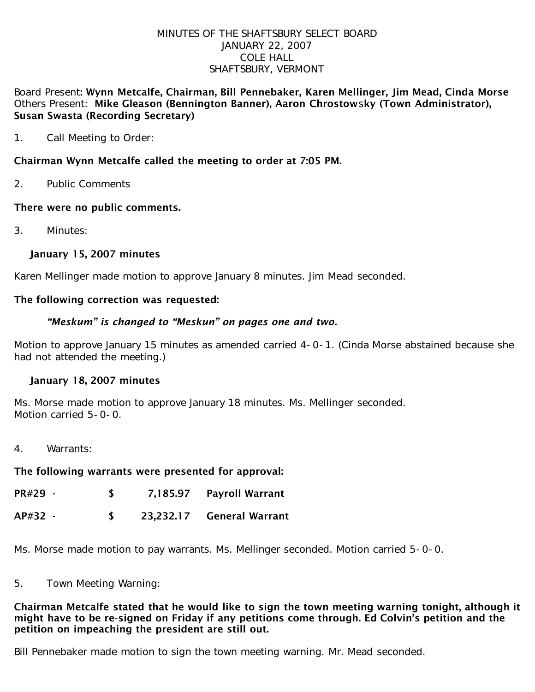#### MINUTES OF THE SHAFTSBURY SELECT BOARD JANUARY 22, 2007 COLE HALL SHAFTSBURY, VERMONT

### Board Present: Wynn Metcalfe, Chairman, Bill Pennebaker, Karen Mellinger, Jim Mead, Cinda Morse Others Present: Mike Gleason (Bennington Banner), Aaron Chrostowsky (Town Administrator), Susan Swasta (Recording Secretary)

1. Call Meeting to Order:

# Chairman Wynn Metcalfe called the meeting to order at 7:05 PM.

2. Public Comments

# There were no public comments.

3. Minutes:

# January 15, 2007 minutes

Karen Mellinger made motion to approve January 8 minutes. Jim Mead seconded.

### The following correction was requested:

### *"Meskum" is changed to "Meskun" on pages one and two.*

Motion to approve January 15 minutes as amended carried 4-0-1. (Cinda Morse abstained because she had not attended the meeting.)

# January 18, 2007 minutes

Ms. Morse made motion to approve January 18 minutes. Ms. Mellinger seconded. Motion carried 5-0-0.

4. Warrants:

#### The following warrants were presented for approval:

| PR#29 - | 7,185.97 | <b>Payroll Warrant</b> |
|---------|----------|------------------------|
|         |          |                        |

AP#32 - \$ 23,232.17 General Warrant

Ms. Morse made motion to pay warrants. Ms. Mellinger seconded. Motion carried 5-0-0.

#### 5. Town Meeting Warning:

### Chairman Metcalfe stated that he would like to sign the town meeting warning tonight, although it might have to be re-signed on Friday if any petitions come through. Ed Colvin's petition and the petition on impeaching the president are still out.

Bill Pennebaker made motion to sign the town meeting warning. Mr. Mead seconded.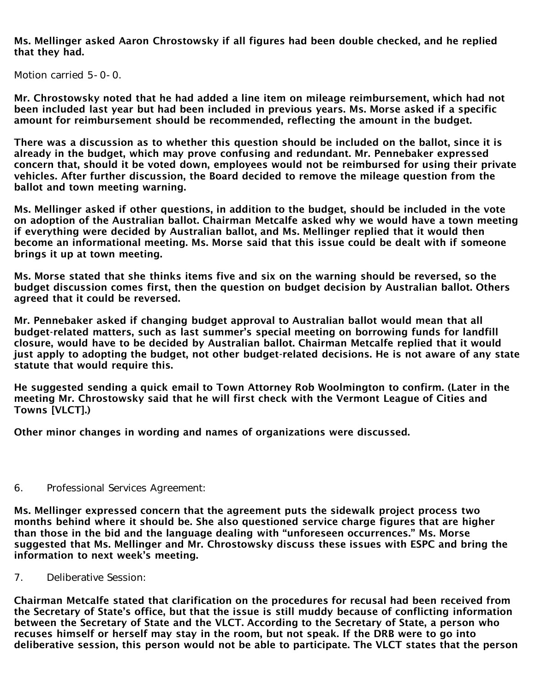Ms. Mellinger asked Aaron Chrostowsky if all figures had been double checked, and he replied that they had.

Motion carried 5-0-0.

Mr. Chrostowsky noted that he had added a line item on mileage reimbursement, which had not been included last year but had been included in previous years. Ms. Morse asked if a specific amount for reimbursement should be recommended, reflecting the amount in the budget.

There was a discussion as to whether this question should be included on the ballot, since it is already in the budget, which may prove confusing and redundant. Mr. Pennebaker expressed concern that, should it be voted down, employees would not be reimbursed for using their private vehicles. After further discussion, the Board decided to remove the mileage question from the ballot and town meeting warning.

Ms. Mellinger asked if other questions, in addition to the budget, should be included in the vote on adoption of the Australian ballot. Chairman Metcalfe asked why we would have a town meeting if everything were decided by Australian ballot, and Ms. Mellinger replied that it would then become an informational meeting. Ms. Morse said that this issue could be dealt with if someone brings it up at town meeting.

Ms. Morse stated that she thinks items five and six on the warning should be reversed, so the budget discussion comes first, then the question on budget decision by Australian ballot. Others agreed that it could be reversed.

Mr. Pennebaker asked if changing budget approval to Australian ballot would mean that all budget-related matters, such as last summer's special meeting on borrowing funds for landfill closure, would have to be decided by Australian ballot. Chairman Metcalfe replied that it would just apply to adopting the budget, not other budget-related decisions. He is not aware of any state statute that would require this.

He suggested sending a quick email to Town Attorney Rob Woolmington to confirm. (Later in the meeting Mr. Chrostowsky said that he will first check with the Vermont League of Cities and Towns [VLCT].)

Other minor changes in wording and names of organizations were discussed.

6. Professional Services Agreement:

Ms. Mellinger expressed concern that the agreement puts the sidewalk project process two months behind where it should be. She also questioned service charge figures that are higher than those in the bid and the language dealing with "unforeseen occurrences." Ms. Morse suggested that Ms. Mellinger and Mr. Chrostowsky discuss these issues with ESPC and bring the information to next week's meeting.

7. Deliberative Session:

Chairman Metcalfe stated that clarification on the procedures for recusal had been received from the Secretary of State's office, but that the issue is still muddy because of conflicting information between the Secretary of State and the VLCT. According to the Secretary of State, a person who recuses himself or herself may stay in the room, but not speak. If the DRB were to go into deliberative session, this person would not be able to participate. The VLCT states that the person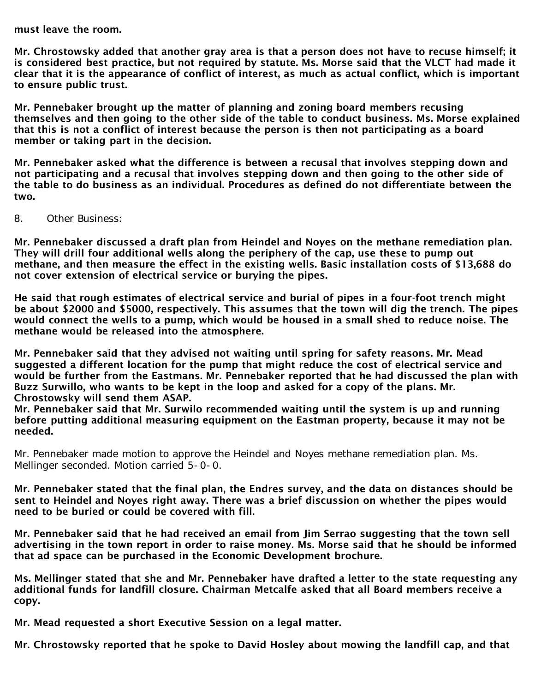must leave the room.

Mr. Chrostowsky added that another gray area is that a person does not have to recuse himself; it is considered best practice, but not required by statute. Ms. Morse said that the VLCT had made it clear that it is the appearance of conflict of interest, as much as actual conflict, which is important to ensure public trust.

Mr. Pennebaker brought up the matter of planning and zoning board members recusing themselves and then going to the other side of the table to conduct business. Ms. Morse explained that this is not a conflict of interest because the person is then not participating as a board member or taking part in the decision.

Mr. Pennebaker asked what the difference is between a recusal that involves stepping down and not participating and a recusal that involves stepping down and then going to the other side of the table to do business as an individual. Procedures as defined do not differentiate between the two.

8. Other Business:

Mr. Pennebaker discussed a draft plan from Heindel and Noyes on the methane remediation plan. They will drill four additional wells along the periphery of the cap, use these to pump out methane, and then measure the effect in the existing wells. Basic installation costs of \$13,688 do not cover extension of electrical service or burying the pipes.

He said that rough estimates of electrical service and burial of pipes in a four-foot trench might be about \$2000 and \$5000, respectively. This assumes that the town will dig the trench. The pipes would connect the wells to a pump, which would be housed in a small shed to reduce noise. The methane would be released into the atmosphere.

Mr. Pennebaker said that they advised not waiting until spring for safety reasons. Mr. Mead suggested a different location for the pump that might reduce the cost of electrical service and would be further from the Eastmans. Mr. Pennebaker reported that he had discussed the plan with Buzz Surwillo, who wants to be kept in the loop and asked for a copy of the plans. Mr. Chrostowsky will send them ASAP.

Mr. Pennebaker said that Mr. Surwilo recommended waiting until the system is up and running before putting additional measuring equipment on the Eastman property, because it may not be needed.

Mr. Pennebaker made motion to approve the Heindel and Noyes methane remediation plan. Ms. Mellinger seconded. Motion carried 5-0-0.

Mr. Pennebaker stated that the final plan, the Endres survey, and the data on distances should be sent to Heindel and Noyes right away. There was a brief discussion on whether the pipes would need to be buried or could be covered with fill.

Mr. Pennebaker said that he had received an email from Jim Serrao suggesting that the town sell advertising in the town report in order to raise money. Ms. Morse said that he should be informed that ad space can be purchased in the Economic Development brochure.

Ms. Mellinger stated that she and Mr. Pennebaker have drafted a letter to the state requesting any additional funds for landfill closure. Chairman Metcalfe asked that all Board members receive a copy.

Mr. Mead requested a short Executive Session on a legal matter.

Mr. Chrostowsky reported that he spoke to David Hosley about mowing the landfill cap, and that